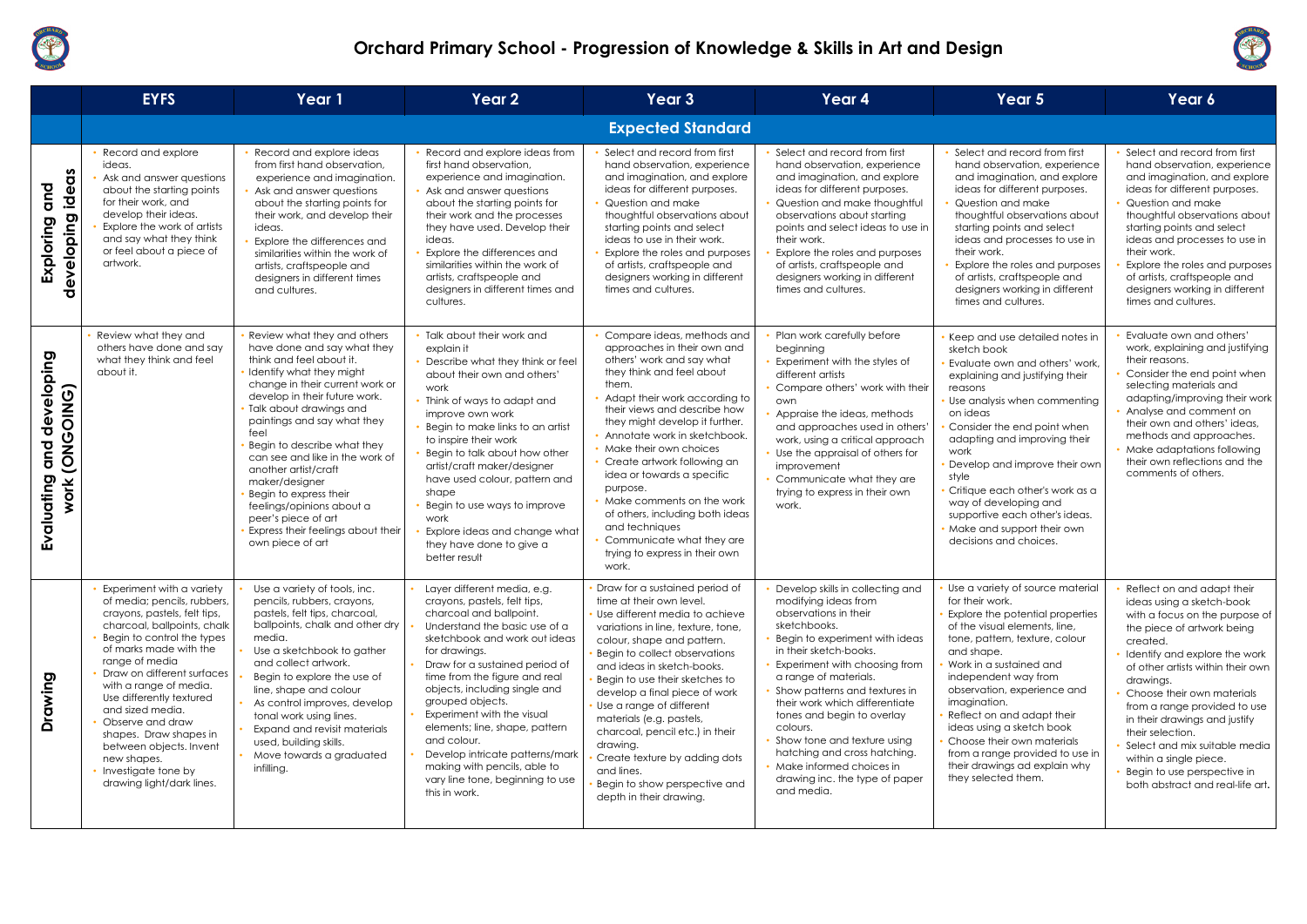

|                                                   | <b>EYFS</b>                                                                                                                                                                                                                                                                                                                                                                                                                                             | Year 1                                                                                                                                                                                                                                                                                                                                                                                                                                                                                                         | Year 2                                                                                                                                                                                                                                                                                                                                                                                                                                                                                                   | Year 3                                                                                                                                                                                                                                                                                                                                                                                                                                                                                                                                   | Year 4                                                                                                                                                                                                                                                                                                                                                                                                                                                                          | Year 5                                                                                                                                                                                                                                                                                                                                                                                                                                                         | Year 6                                                                                                                                                                                                                                                                                                                                                                                                                                                                  |
|---------------------------------------------------|---------------------------------------------------------------------------------------------------------------------------------------------------------------------------------------------------------------------------------------------------------------------------------------------------------------------------------------------------------------------------------------------------------------------------------------------------------|----------------------------------------------------------------------------------------------------------------------------------------------------------------------------------------------------------------------------------------------------------------------------------------------------------------------------------------------------------------------------------------------------------------------------------------------------------------------------------------------------------------|----------------------------------------------------------------------------------------------------------------------------------------------------------------------------------------------------------------------------------------------------------------------------------------------------------------------------------------------------------------------------------------------------------------------------------------------------------------------------------------------------------|------------------------------------------------------------------------------------------------------------------------------------------------------------------------------------------------------------------------------------------------------------------------------------------------------------------------------------------------------------------------------------------------------------------------------------------------------------------------------------------------------------------------------------------|---------------------------------------------------------------------------------------------------------------------------------------------------------------------------------------------------------------------------------------------------------------------------------------------------------------------------------------------------------------------------------------------------------------------------------------------------------------------------------|----------------------------------------------------------------------------------------------------------------------------------------------------------------------------------------------------------------------------------------------------------------------------------------------------------------------------------------------------------------------------------------------------------------------------------------------------------------|-------------------------------------------------------------------------------------------------------------------------------------------------------------------------------------------------------------------------------------------------------------------------------------------------------------------------------------------------------------------------------------------------------------------------------------------------------------------------|
|                                                   |                                                                                                                                                                                                                                                                                                                                                                                                                                                         |                                                                                                                                                                                                                                                                                                                                                                                                                                                                                                                |                                                                                                                                                                                                                                                                                                                                                                                                                                                                                                          | <b>Expected Standard</b>                                                                                                                                                                                                                                                                                                                                                                                                                                                                                                                 |                                                                                                                                                                                                                                                                                                                                                                                                                                                                                 |                                                                                                                                                                                                                                                                                                                                                                                                                                                                |                                                                                                                                                                                                                                                                                                                                                                                                                                                                         |
| ideas<br>and<br>developing<br>Exploring           | Record and explore<br>ideas.<br>Ask and answer questions<br>about the starting points<br>for their work, and<br>develop their ideas.<br>Explore the work of artists<br>and say what they think<br>or feel about a piece of<br>artwork.                                                                                                                                                                                                                  | Record and explore ideas<br>from first hand observation,<br>experience and imagination.<br>Ask and answer questions<br>about the starting points for<br>their work, and develop their<br>ideas.<br>Explore the differences and<br>similarities within the work of<br>artists, craftspeople and<br>designers in different times<br>and cultures.                                                                                                                                                                | Record and explore ideas from<br>first hand observation,<br>experience and imagination.<br>• Ask and answer questions<br>about the starting points for<br>their work and the processes<br>they have used. Develop their<br>ideas.<br>Explore the differences and<br>similarities within the work of<br>artists, craftspeople and<br>designers in different times and<br>cultures.                                                                                                                        | Select and record from first<br>hand observation, experience<br>and imagination, and explore<br>ideas for different purposes.<br>Question and make<br>thoughtful observations about<br>starting points and select<br>ideas to use in their work.<br>Explore the roles and purposes<br>of artists, craftspeople and<br>designers working in different<br>times and cultures.                                                                                                                                                              | Select and record from first<br>hand observation, experience<br>and imagination, and explore<br>ideas for different purposes.<br>Question and make thoughtful<br>observations about starting<br>points and select ideas to use in<br>their work.<br>Explore the roles and purposes<br>of artists, craftspeople and<br>designers working in different<br>times and cultures.                                                                                                     | • Select and record from first<br>hand observation, experience<br>and imagination, and explore<br>ideas for different purposes.<br>Question and make<br>thoughtful observations about<br>starting points and select<br>ideas and processes to use in<br>their work.<br>Explore the roles and purposes<br>of artists, craftspeople and<br>designers working in different<br>times and cultures.                                                                 | Select and record from first<br>hand observation, experience<br>and imagination, and explore<br>ideas for different purposes.<br>Question and make<br>thoughtful observations about<br>starting points and select<br>ideas and processes to use in<br>their work.<br>Explore the roles and purposes<br>of artists, craftspeople and<br>designers working in different<br>times and cultures.                                                                            |
| developing<br>Work (ONGOING)<br>and<br>Evaluating | Review what they and<br>others have done and say<br>what they think and feel<br>about it.                                                                                                                                                                                                                                                                                                                                                               | Review what they and others<br>have done and say what they<br>think and feel about it.<br>Identify what they might<br>change in their current work or<br>develop in their future work.<br>· Talk about drawings and<br>paintings and say what they<br>feel<br>Begin to describe what they<br>can see and like in the work of<br>another artist/craft<br>maker/designer<br>Begin to express their<br>feelings/opinions about a<br>peer's piece of art<br>Express their feelings about their<br>own piece of art | • Talk about their work and<br>explain it<br>Describe what they think or feel<br>about their own and others'<br>work<br>• Think of ways to adapt and<br>improve own work<br>Begin to make links to an artist<br>to inspire their work<br>Begin to talk about how other<br>artist/craft maker/designer<br>have used colour, pattern and<br>shape<br>Begin to use ways to improve<br>work<br>Explore ideas and change what<br>they have done to give a<br>better result                                    | Compare ideas, methods and<br>approaches in their own and<br>others' work and say what<br>they think and feel about<br>them.<br>• Adapt their work according to<br>their views and describe how<br>they might develop it further.<br>• Annotate work in sketchbook.<br>• Make their own choices<br>• Create artwork following an<br>idea or towards a specific<br>purpose.<br>• Make comments on the work<br>of others, including both ideas<br>and techniques<br>• Communicate what they are<br>trying to express in their own<br>work. | Plan work carefully before<br>beginning<br>Experiment with the styles of<br>different artists<br>Compare others' work with their<br>own<br>Appraise the ideas, methods<br>and approaches used in others'<br>work, using a critical approach<br>Use the appraisal of others for<br>improvement<br>Communicate what they are<br>trying to express in their own<br>work.                                                                                                           | • Keep and use detailed notes in<br>sketch book<br>· Evaluate own and others' work,<br>explaining and justifying their<br>reasons<br>Use analysis when commenting<br>on ideas<br>Consider the end point when<br>adapting and improving their<br>work<br>• Develop and improve their own<br>style<br>Critique each other's work as a<br>way of developing and<br>supportive each other's ideas.<br>• Make and support their own<br>decisions and choices.       | Evaluate own and others'<br>work, explaining and justifying<br>their reasons.<br>Consider the end point when<br>selecting materials and<br>adapting/improving their work<br>Analyse and comment on<br>their own and others' ideas,<br>methods and approaches.<br>Make adaptations following<br>their own reflections and the<br>comments of others.                                                                                                                     |
| <u>ත</u><br>Drawin                                | Experiment with a variety<br>of media; pencils, rubbers,<br>crayons, pastels, felt tips,<br>charcoal, ballpoints, chalk<br>Begin to control the types<br>of marks made with the<br>range of media<br>Draw on different surfaces<br>with a range of media.<br>Use differently textured<br>and sized media.<br>Observe and draw<br>shapes. Draw shapes in<br>between objects. Invent<br>new shapes.<br>• Investigate tone by<br>drawing light/dark lines. | Use a variety of tools, inc.<br>pencils, rubbers, crayons,<br>pastels, felt tips, charcoal,<br>ballpoints, chalk and other dry<br>media.<br>Use a sketchbook to gather<br>and collect artwork.<br>Begin to explore the use of<br>line, shape and colour<br>As control improves, develop<br>tonal work using lines.<br>Expand and revisit materials<br>used, building skills.<br>Move towards a graduated<br>infilling.                                                                                         | Layer different media, e.g.<br>crayons, pastels, felt tips,<br>charcoal and ballpoint.<br>Understand the basic use of a<br>sketchbook and work out ideas<br>for drawings.<br>Draw for a sustained period of<br>time from the figure and real<br>objects, including single and<br>grouped objects.<br>Experiment with the visual<br>elements; line, shape, pattern<br>and colour.<br>Develop intricate patterns/mark<br>making with pencils, able to<br>vary line tone, beginning to use<br>this in work. | Draw for a sustained period of<br>time at their own level.<br>Use different media to achieve<br>variations in line, texture, tone,<br>colour, shape and pattern.<br>Begin to collect observations<br>and ideas in sketch-books.<br>Begin to use their sketches to<br>develop a final piece of work<br>Use a range of different<br>materials (e.g. pastels,<br>charcoal, pencil etc.) in their<br>drawing.<br>Create texture by adding dots<br>and lines.<br>Begin to show perspective and<br>depth in their drawing.                     | Develop skills in collecting and<br>modifying ideas from<br>observations in their<br>sketchbooks.<br>Begin to experiment with ideas<br>in their sketch-books.<br>Experiment with choosing from<br>a range of materials.<br>Show patterns and textures in<br>their work which differentiate<br>tones and begin to overlay<br>colours.<br>Show tone and texture using<br>hatching and cross hatching.<br>Make informed choices in<br>drawing inc. the type of paper<br>and media. | Use a variety of source material<br>for their work.<br>Explore the potential properties<br>of the visual elements, line,<br>tone, pattern, texture, colour<br>and shape.<br>Work in a sustained and<br>independent way from<br>observation, experience and<br>imagination.<br>Reflect on and adapt their<br>ideas using a sketch book<br>Choose their own materials<br>from a range provided to use in<br>their drawings ad explain why<br>they selected them. | Reflect on and adapt their<br>ideas using a sketch-book<br>with a focus on the purpose of<br>the piece of artwork being<br>created.<br>Identify and explore the work<br>of other artists within their own<br>drawings.<br>Choose their own materials<br>from a range provided to use<br>in their drawings and justify<br>their selection.<br>Select and mix suitable media<br>within a single piece.<br>Begin to use perspective in<br>both abstract and real-life art. |



| o i 1 |  |
|-------|--|
|       |  |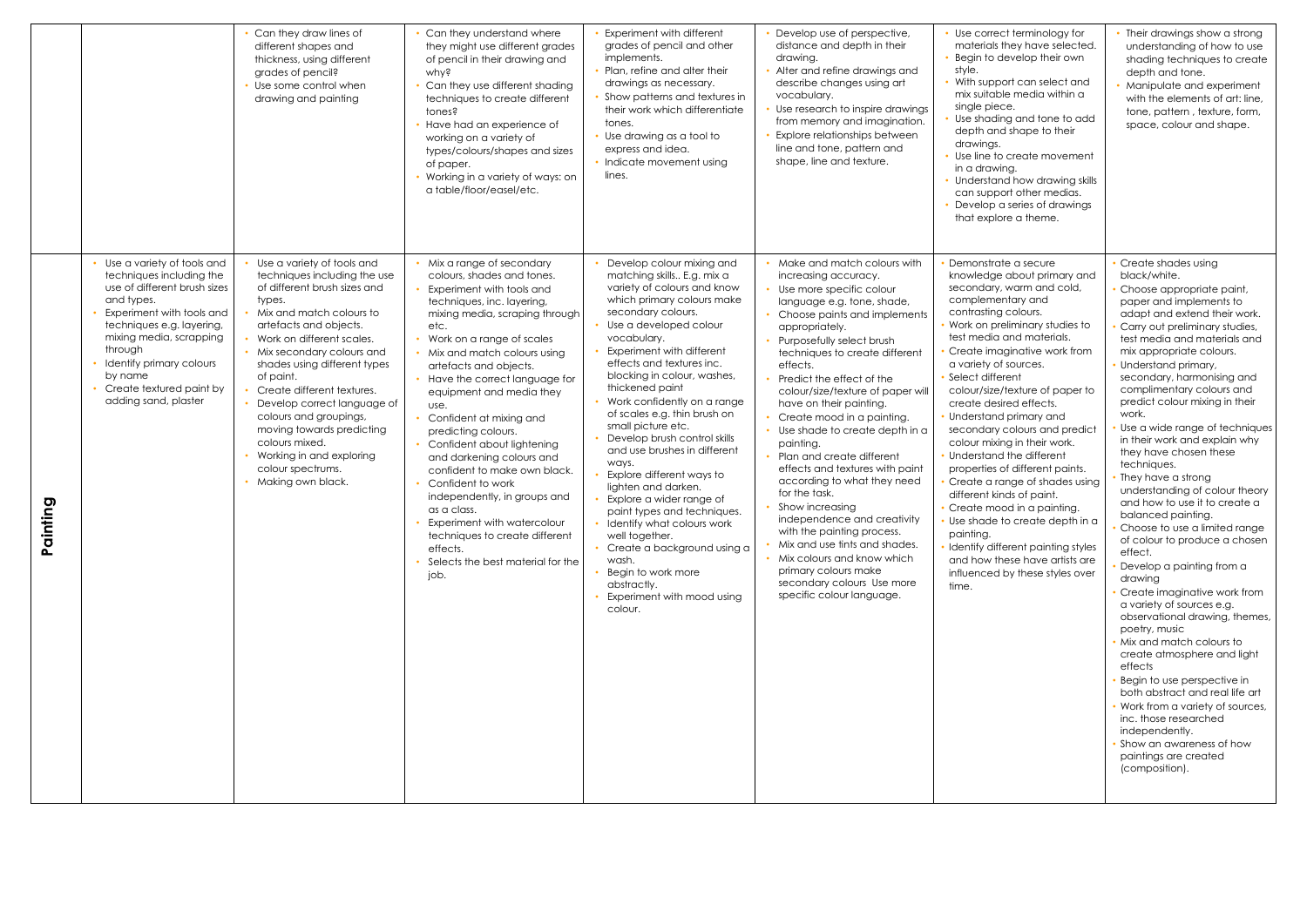|                   |                                                                                                                                                                                                                                                                                                 | Can they draw lines of<br>different shapes and<br>thickness, using different<br>grades of pencil?<br>Use some control when<br>drawing and painting                                                                                                                                                                                                                                                                                                                            | Can they understand where<br>they might use different grades<br>of pencil in their drawing and<br>why?<br>Can they use different shading<br>techniques to create different<br>tones?<br>Have had an experience of<br>working on a variety of<br>types/colours/shapes and sizes<br>of paper.<br>Working in a variety of ways: on<br>a table/floor/easel/etc.                                                                                                                                                                                                                                                                                                         | Experiment with different<br>grades of pencil and other<br>implements.<br>Plan, refine and alter their<br>drawings as necessary.<br>Show patterns and textures in<br>their work which differentiate<br>tones.<br>• Use drawing as a tool to<br>express and idea.<br>• Indicate movement using<br>lines.                                                                                                                                                                                                                                                                                                                                                                                                                                            | Develop use of perspective,<br>distance and depth in their<br>drawing.<br>Alter and refine drawings and<br>describe changes using art<br>vocabulary.<br>Use research to inspire drawings<br>from memory and imagination.<br>Explore relationships between<br>line and tone, pattern and<br>shape, line and texture.                                                                                                                                                                                                                                                                                                                                                                                                                                                        | • Use correct terminology for<br>materials they have selected.<br>• Begin to develop their own<br>style.<br>• With support can select and<br>mix suitable media within a<br>single piece.<br>Use shading and tone to add<br>depth and shape to their<br>drawings.<br>• Use line to create movement<br>in a drawing.<br>• Understand how drawing skills<br>can support other medias.<br>• Develop a series of drawings<br>that explore a theme.                                                                                                                                                                                                                                                                                                                              | Their drawings show a strong<br>understanding of how to use<br>shading techniques to create<br>depth and tone.<br>Manipulate and experiment<br>with the elements of art; line,<br>tone, pattern, texture, form,<br>space, colour and shape.                                                                                                                                                                                                                                                                                                                                                                                                                                                                                                                                                                                                                                                                                                                                                                                                                                                                         |
|-------------------|-------------------------------------------------------------------------------------------------------------------------------------------------------------------------------------------------------------------------------------------------------------------------------------------------|-------------------------------------------------------------------------------------------------------------------------------------------------------------------------------------------------------------------------------------------------------------------------------------------------------------------------------------------------------------------------------------------------------------------------------------------------------------------------------|---------------------------------------------------------------------------------------------------------------------------------------------------------------------------------------------------------------------------------------------------------------------------------------------------------------------------------------------------------------------------------------------------------------------------------------------------------------------------------------------------------------------------------------------------------------------------------------------------------------------------------------------------------------------|----------------------------------------------------------------------------------------------------------------------------------------------------------------------------------------------------------------------------------------------------------------------------------------------------------------------------------------------------------------------------------------------------------------------------------------------------------------------------------------------------------------------------------------------------------------------------------------------------------------------------------------------------------------------------------------------------------------------------------------------------|----------------------------------------------------------------------------------------------------------------------------------------------------------------------------------------------------------------------------------------------------------------------------------------------------------------------------------------------------------------------------------------------------------------------------------------------------------------------------------------------------------------------------------------------------------------------------------------------------------------------------------------------------------------------------------------------------------------------------------------------------------------------------|-----------------------------------------------------------------------------------------------------------------------------------------------------------------------------------------------------------------------------------------------------------------------------------------------------------------------------------------------------------------------------------------------------------------------------------------------------------------------------------------------------------------------------------------------------------------------------------------------------------------------------------------------------------------------------------------------------------------------------------------------------------------------------|---------------------------------------------------------------------------------------------------------------------------------------------------------------------------------------------------------------------------------------------------------------------------------------------------------------------------------------------------------------------------------------------------------------------------------------------------------------------------------------------------------------------------------------------------------------------------------------------------------------------------------------------------------------------------------------------------------------------------------------------------------------------------------------------------------------------------------------------------------------------------------------------------------------------------------------------------------------------------------------------------------------------------------------------------------------------------------------------------------------------|
| O<br>C<br>Paintir | Use a variety of tools and<br>techniques including the<br>use of different brush sizes<br>and types.<br>Experiment with tools and<br>techniques e.g. layering,<br>mixing media, scrapping<br>through<br>Identify primary colours<br>by name<br>Create textured paint by<br>adding sand, plaster | Use a variety of tools and<br>techniques including the use<br>of different brush sizes and<br>types.<br>Mix and match colours to<br>artefacts and objects.<br>Work on different scales.<br>Mix secondary colours and<br>shades using different types<br>of paint.<br>Create different textures.<br>Develop correct language of<br>colours and groupings,<br>moving towards predicting<br>colours mixed.<br>Working in and exploring<br>colour spectrums.<br>Making own black. | Mix a range of secondary<br>colours, shades and tones.<br>Experiment with tools and<br>techniques, inc. layering,<br>mixing media, scraping through<br>etc.<br>Work on a range of scales<br>• Mix and match colours using<br>artefacts and objects.<br>Have the correct language for<br>equipment and media they<br>use.<br>Confident at mixing and<br>predicting colours.<br>Confident about lightening<br>and darkening colours and<br>confident to make own black.<br>Confident to work<br>independently, in groups and<br>as a class.<br>Experiment with watercolour<br>techniques to create different<br>effects.<br>Selects the best material for the<br>job. | Develop colour mixing and<br>matching skills E.g. mix a<br>variety of colours and know<br>which primary colours make<br>secondary colours.<br>Use a developed colour<br>vocabulary.<br>Experiment with different<br>effects and textures inc.<br>blocking in colour, washes,<br>thickened paint<br>Work confidently on a range<br>of scales e.g. thin brush on<br>small picture etc.<br>Develop brush control skills<br>and use brushes in different<br>ways.<br>Explore different ways to<br>lighten and darken.<br>Explore a wider range of<br>paint types and techniques.<br>Identify what colours work<br>well together.<br>Create a background using a<br>wash.<br>Begin to work more<br>abstractly.<br>Experiment with mood using<br>colour. | Make and match colours with<br>increasing accuracy.<br>• Use more specific colour<br>language e.g. tone, shade,<br>Choose paints and implements<br>appropriately.<br>Purposefully select brush<br>techniques to create different<br>effects.<br>Predict the effect of the<br>colour/size/texture of paper will<br>have on their painting.<br>Create mood in a painting.<br>Use shade to create depth in a<br>painting.<br>Plan and create different<br>effects and textures with paint<br>according to what they need<br>for the task.<br>Show increasing<br>independence and creativity<br>with the painting process.<br>Mix and use tints and shades.<br>• Mix colours and know which<br>primary colours make<br>secondary colours Use more<br>specific colour language. | Demonstrate a secure<br>knowledge about primary and<br>secondary, warm and cold,<br>complementary and<br>contrasting colours.<br>Work on preliminary studies to<br>test media and materials.<br>Create imaginative work from<br>a variety of sources.<br>Select different<br>colour/size/texture of paper to<br>create desired effects.<br>• Understand primary and<br>secondary colours and predict<br>colour mixing in their work.<br>• Understand the different<br>properties of different paints.<br>Create a range of shades using<br>different kinds of paint.<br>• Create mood in a painting.<br>• Use shade to create depth in a<br>painting.<br>· Identify different painting styles<br>and how these have artists are<br>influenced by these styles over<br>time. | Create shades using<br>black/white.<br>Choose appropriate paint,<br>paper and implements to<br>adapt and extend their work.<br>Carry out preliminary studies,<br>test media and materials and<br>mix appropriate colours.<br>Understand primary,<br>secondary, harmonising and<br>complimentary colours and<br>predict colour mixing in their<br>work.<br>Use a wide range of techniques<br>in their work and explain why<br>they have chosen these<br>techniques.<br>They have a strong<br>understanding of colour theory<br>and how to use it to create a<br>balanced painting.<br>Choose to use a limited range<br>of colour to produce a chosen<br>effect.<br>Develop a painting from a<br>drawing<br>Create imaginative work from<br>a variety of sources e.g.<br>observational drawing, themes,<br>poetry, music<br>Mix and match colours to<br>create atmosphere and light<br>effects<br>Begin to use perspective in<br>both abstract and real life art<br>Work from a variety of sources,<br>inc. those researched<br>independently.<br>Show an awareness of how<br>paintings are created<br>(composition). |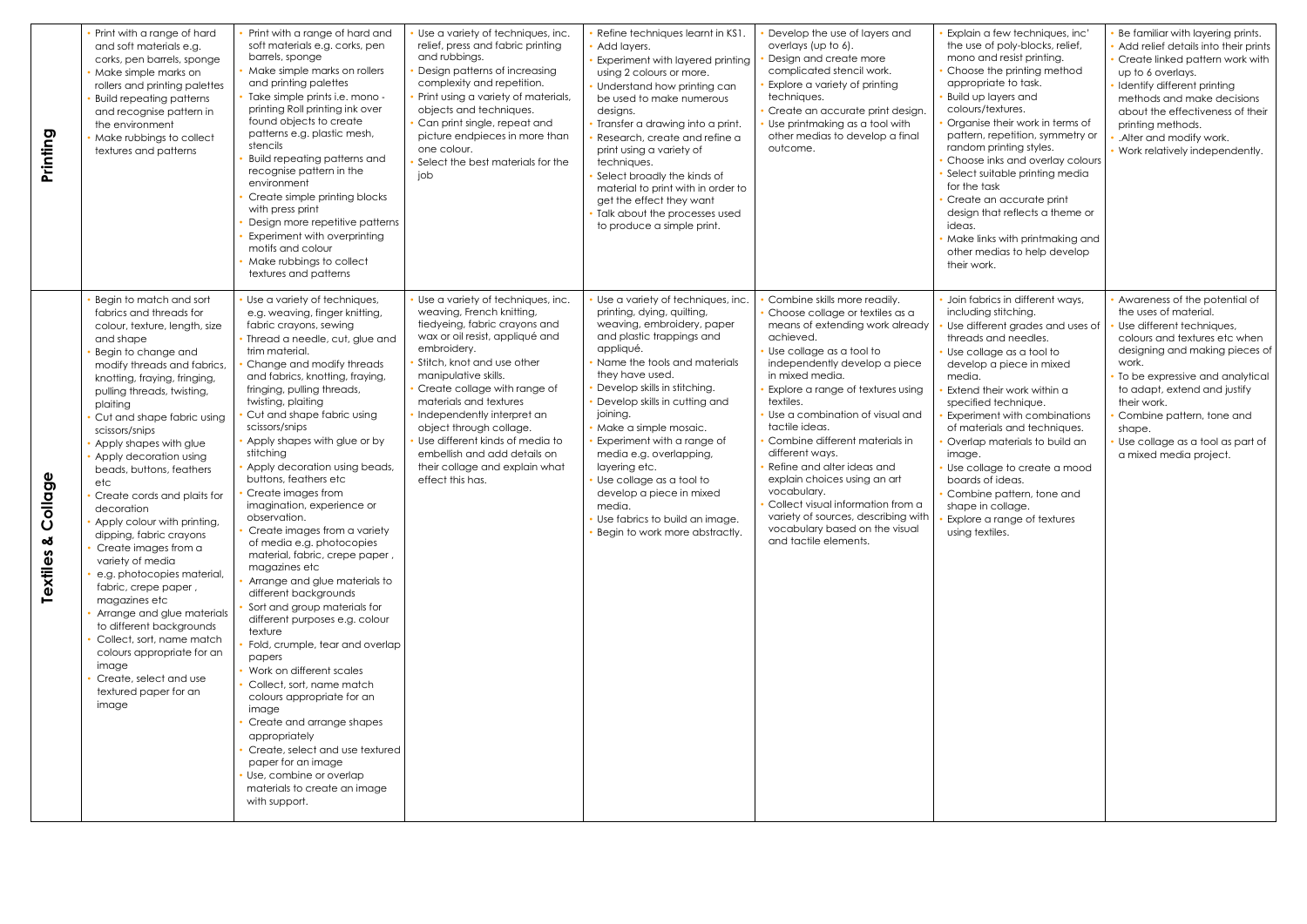| Printing                                              | Print with a range of hard<br>and soft materials e.g.<br>corks, pen barrels, sponge<br>Make simple marks on<br>rollers and printing palettes<br><b>Build repeating patterns</b><br>and recognise pattern in<br>the environment<br>Make rubbings to collect<br>textures and patterns                                                                                                                                                                                                                                                                                                                                                                                                                                                                                                           | Print with a range of hard and<br>soft materials e.g. corks, pen<br>barrels, sponge<br>Make simple marks on rollers<br>and printing palettes<br>Take simple prints i.e. mono -<br>printing Roll printing ink over<br>found objects to create<br>patterns e.g. plastic mesh,<br>stencils<br><b>Build repeating patterns and</b><br>recognise pattern in the<br>environment<br>Create simple printing blocks<br>with press print<br>Design more repetitive patterns<br>Experiment with overprinting<br>motifs and colour<br>Make rubbings to collect<br>textures and patterns                                                                                                                                                                                                                                                                                                                                                                                                                                                                                                        | Use a variety of techniques, inc.<br>relief, press and fabric printing<br>and rubbings.<br>Design patterns of increasing<br>complexity and repetition.<br>Print using a variety of materials,<br>objects and techniques.<br>Can print single, repeat and<br>picture endpieces in more than<br>one colour.<br>Select the best materials for the<br>job                                                                                               | Refine techniques learnt in KS1<br>Add layers.<br>Experiment with layered printing<br>using 2 colours or more.<br>Understand how printing can<br>be used to make numerous<br>designs.<br>Transfer a drawing into a print.<br>Research, create and refine a<br>print using a variety of<br>techniques.<br>Select broadly the kinds of<br>material to print with in order to<br>get the effect they want<br>Talk about the processes used<br>to produce a simple print.                                            | Develop the use of layers and<br>overlays (up to 6).<br>Design and create more<br>complicated stencil work.<br>Explore a variety of printing<br>techniques.<br>Create an accurate print design.<br>Use printmaking as a tool with<br>other medias to develop a final<br>outcome.                                                                                                                                                                                                                                                                                                | Explain a few techniques, inc'<br>the use of poly-blocks, relief,<br>mono and resist printing.<br>Choose the printing method<br>appropriate to task.<br>Build up layers and<br>colours/textures.<br>Organise their work in terms of<br>pattern, repetition, symmetry or<br>random printing styles.<br>Choose inks and overlay colours<br>Select suitable printing media<br>for the task<br>Create an accurate print<br>design that reflects a theme or<br>ideas.<br>Make links with printmaking and<br>other medias to help develop<br>their work. | Be familiar with layering prints.<br>Add relief details into their prints<br>Create linked pattern work with<br>up to 6 overlays.<br>Identify different printing<br>methods and make decisions<br>about the effectiveness of their<br>printing methods.<br>Alter and modify work.<br>Work relatively independently.                                    |
|-------------------------------------------------------|-----------------------------------------------------------------------------------------------------------------------------------------------------------------------------------------------------------------------------------------------------------------------------------------------------------------------------------------------------------------------------------------------------------------------------------------------------------------------------------------------------------------------------------------------------------------------------------------------------------------------------------------------------------------------------------------------------------------------------------------------------------------------------------------------|------------------------------------------------------------------------------------------------------------------------------------------------------------------------------------------------------------------------------------------------------------------------------------------------------------------------------------------------------------------------------------------------------------------------------------------------------------------------------------------------------------------------------------------------------------------------------------------------------------------------------------------------------------------------------------------------------------------------------------------------------------------------------------------------------------------------------------------------------------------------------------------------------------------------------------------------------------------------------------------------------------------------------------------------------------------------------------|-----------------------------------------------------------------------------------------------------------------------------------------------------------------------------------------------------------------------------------------------------------------------------------------------------------------------------------------------------------------------------------------------------------------------------------------------------|------------------------------------------------------------------------------------------------------------------------------------------------------------------------------------------------------------------------------------------------------------------------------------------------------------------------------------------------------------------------------------------------------------------------------------------------------------------------------------------------------------------|---------------------------------------------------------------------------------------------------------------------------------------------------------------------------------------------------------------------------------------------------------------------------------------------------------------------------------------------------------------------------------------------------------------------------------------------------------------------------------------------------------------------------------------------------------------------------------|----------------------------------------------------------------------------------------------------------------------------------------------------------------------------------------------------------------------------------------------------------------------------------------------------------------------------------------------------------------------------------------------------------------------------------------------------------------------------------------------------------------------------------------------------|--------------------------------------------------------------------------------------------------------------------------------------------------------------------------------------------------------------------------------------------------------------------------------------------------------------------------------------------------------|
| Φ<br><b>Diolos</b><br>$\overline{O}$<br>య<br>Textiles | Begin to match and sort<br>fabrics and threads for<br>colour, texture, length, size<br>and shape<br>Begin to change and<br>modify threads and fabrics,<br>knotting, fraying, fringing,<br>pulling threads, twisting,<br>plaiting<br>Cut and shape fabric using<br>scissors/snips<br>Apply shapes with glue<br>Apply decoration using<br>beads, buttons, feathers<br>etc<br>Create cords and plaits for<br>decoration<br>• Apply colour with printing,<br>dipping, fabric crayons<br>Create images from a<br>variety of media<br>e.g. photocopies material,<br>fabric, crepe paper,<br>magazines etc<br>Arrange and glue materials<br>to different backgrounds<br>Collect, sort, name match<br>colours appropriate for an<br>image<br>Create, select and use<br>textured paper for an<br>image | Use a variety of techniques,<br>e.g. weaving, finger knitting,<br>fabric crayons, sewing<br>Thread a needle, cut, glue and<br>trim material.<br>Change and modify threads<br>and fabrics, knotting, fraying,<br>fringing, pulling threads,<br>twisting, plaiting<br>Cut and shape fabric using<br>scissors/snips<br>Apply shapes with glue or by<br>stitching<br>Apply decoration using beads,<br>buttons, feathers etc<br>Create images from<br>imagination, experience or<br>observation.<br>Create images from a variety<br>of media e.g. photocopies<br>material, fabric, crepe paper,<br>magazines etc<br>Arrange and glue materials to<br>different backgrounds<br>Sort and group materials for<br>different purposes e.g. colour<br>texture<br>Fold, crumple, tear and overlap<br>papers<br>Work on different scales<br>Collect, sort, name match<br>colours appropriate for an<br>image<br>Create and arrange shapes<br>appropriately<br>Create, select and use textured<br>paper for an image<br>Use, combine or overlap<br>materials to create an image<br>with support. | Use a variety of techniques, inc.<br>weaving, French knitting,<br>tiedyeing, fabric crayons and<br>wax or oil resist, appliqué and<br>embroidery.<br>Stitch, knot and use other<br>manipulative skills.<br>Create collage with range of<br>materials and textures<br>Independently interpret an<br>object through collage.<br>Use different kinds of media to<br>embellish and add details on<br>their collage and explain what<br>effect this has. | Use a variety of techniques, inc.<br>printing, dying, quilting,<br>weaving, embroidery, paper<br>and plastic trappings and<br>appliqué.<br>Name the tools and materials<br>they have used.<br>Develop skills in stitching.<br>Develop skills in cutting and<br>joining.<br>Make a simple mosaic.<br>Experiment with a range of<br>media e.g. overlapping,<br>layering etc.<br>Use collage as a tool to<br>develop a piece in mixed<br>media.<br>Use fabrics to build an image.<br>Begin to work more abstractly. | Combine skills more readily.<br>Choose collage or textiles as a<br>means of extending work already<br>achieved.<br>Use collage as a tool to<br>independently develop a piece<br>in mixed media.<br>Explore a range of textures using<br>textiles.<br>Use a combination of visual and<br>tactile ideas.<br>Combine different materials in<br>different ways.<br>Refine and alter ideas and<br>explain choices using an art<br>vocabulary.<br>Collect visual information from a<br>variety of sources, describing with<br>vocabulary based on the visual<br>and tactile elements. | Join fabrics in different ways,<br>including stitching.<br>Use different grades and uses of<br>threads and needles.<br>Use collage as a tool to<br>develop a piece in mixed<br>media.<br>Extend their work within a<br>specified technique.<br>Experiment with combinations<br>of materials and techniques.<br>Overlap materials to build an<br>image.<br>Use collage to create a mood<br>boards of ideas.<br>Combine pattern, tone and<br>shape in collage.<br>Explore a range of textures<br>using textiles.                                     | Awareness of the potential of<br>the uses of material.<br>Use different techniques,<br>colours and textures etc when<br>designing and making pieces of<br>work.<br>To be expressive and analytical<br>to adapt, extend and justify<br>their work.<br>Combine pattern, tone and<br>shape.<br>Use collage as a tool as part of<br>a mixed media project. |